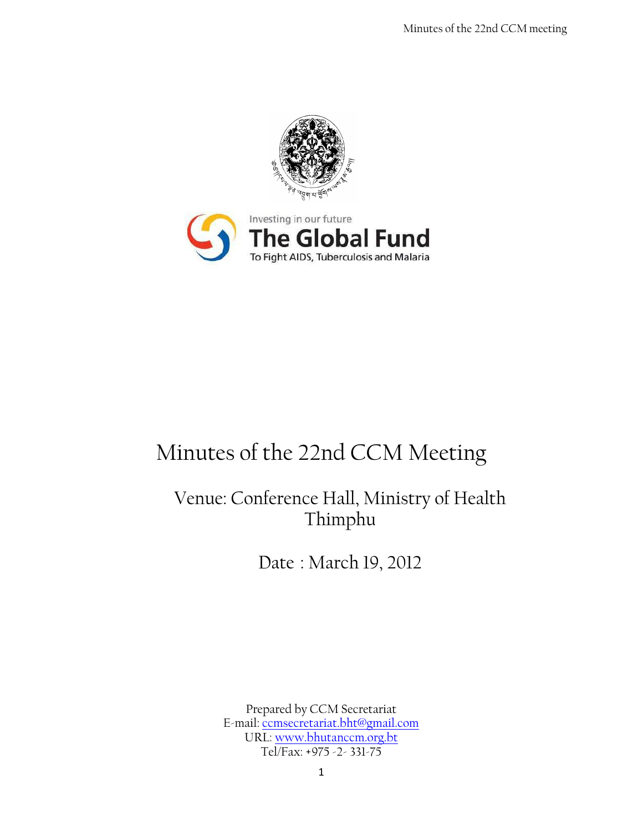



# Minutes of the 22nd CCM Meeting

# Venue: Conference Hall, Ministry of Health Thimphu

Date : March 19, 2012

Prepared by CCM Secretariat E-mail: [ccmsecretariat.bht@gmail.com](mailto:ccmsecretariat.bht@gmail.com) URL: [www.bhutanccm.org.bt](http://www.bhutanccm.org.bt/) Tel/Fax: +975 -2- 331-75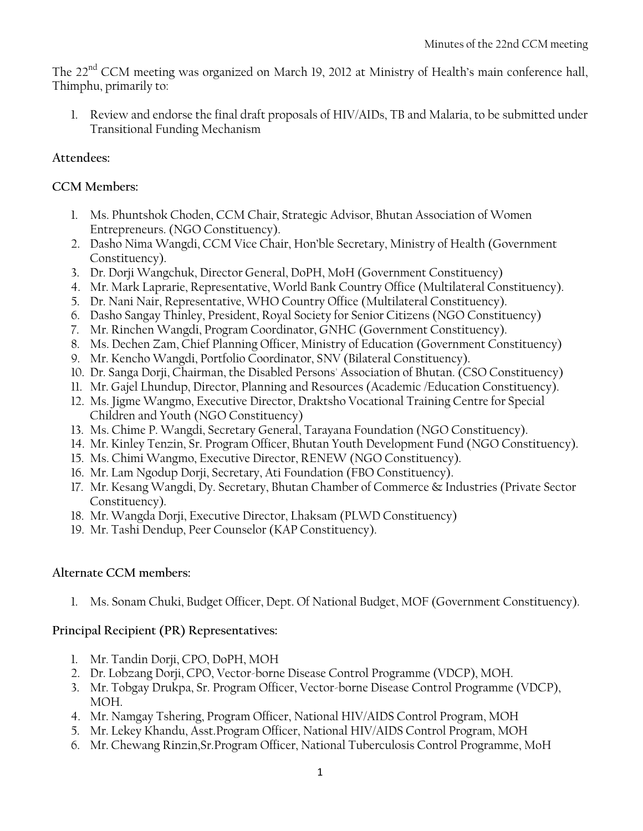The 22<sup>nd</sup> CCM meeting was organized on March 19, 2012 at Ministry of Health's main conference hall, Thimphu, primarily to:

1. Review and endorse the final draft proposals of HIV/AIDs, TB and Malaria, to be submitted under Transitional Funding Mechanism

### **Attendees:**

#### **CCM Members:**

- 1. Ms. Phuntshok Choden, CCM Chair, Strategic Advisor, Bhutan Association of Women Entrepreneurs. (NGO Constituency).
- 2. Dasho Nima Wangdi, CCM Vice Chair, Hon'ble Secretary, Ministry of Health (Government Constituency).
- 3. Dr. Dorji Wangchuk, Director General, DoPH, MoH (Government Constituency)
- 4. Mr. Mark Laprarie, Representative, World Bank Country Office (Multilateral Constituency).
- 5. Dr. Nani Nair, Representative, WHO Country Office (Multilateral Constituency).
- 6. Dasho Sangay Thinley, President, Royal Society for Senior Citizens (NGO Constituency)
- 7. Mr. Rinchen Wangdi, Program Coordinator, GNHC (Government Constituency).
- 8. Ms. Dechen Zam, Chief Planning Officer, Ministry of Education (Government Constituency)
- 9. Mr. Kencho Wangdi, Portfolio Coordinator, SNV (Bilateral Constituency).
- 10. Dr. Sanga Dorji, Chairman, the Disabled Persons' Association of Bhutan. (CSO Constituency)
- 11. Mr. Gajel Lhundup, Director, Planning and Resources (Academic /Education Constituency).
- 12. Ms. Jigme Wangmo, Executive Director, Draktsho Vocational Training Centre for Special Children and Youth (NGO Constituency)
- 13. Ms. Chime P. Wangdi, Secretary General, Tarayana Foundation (NGO Constituency).
- 14. Mr. Kinley Tenzin, Sr. Program Officer, Bhutan Youth Development Fund (NGO Constituency).
- 15. Ms. Chimi Wangmo, Executive Director, RENEW (NGO Constituency).
- 16. Mr. Lam Ngodup Dorji, Secretary, Ati Foundation (FBO Constituency).
- 17. Mr. Kesang Wangdi, Dy. Secretary, Bhutan Chamber of Commerce & Industries (Private Sector Constituency).
- 18. Mr. Wangda Dorji, Executive Director, Lhaksam (PLWD Constituency)
- 19. Mr. Tashi Dendup, Peer Counselor (KAP Constituency).

### **Alternate CCM members:**

1. Ms. Sonam Chuki, Budget Officer, Dept. Of National Budget, MOF (Government Constituency).

### **Principal Recipient (PR) Representatives:**

- 1. Mr. Tandin Dorji, CPO, DoPH, MOH
- 2. Dr. Lobzang Dorji, CPO, Vector-borne Disease Control Programme (VDCP), MOH.
- 3. Mr. Tobgay Drukpa, Sr. Program Officer, Vector-borne Disease Control Programme (VDCP), MOH.
- 4. Mr. Namgay Tshering, Program Officer, National HIV/AIDS Control Program, MOH
- 5. Mr. Lekey Khandu, Asst.Program Officer, National HIV/AIDS Control Program, MOH
- 6. Mr. Chewang Rinzin,Sr.Program Officer, National Tuberculosis Control Programme, MoH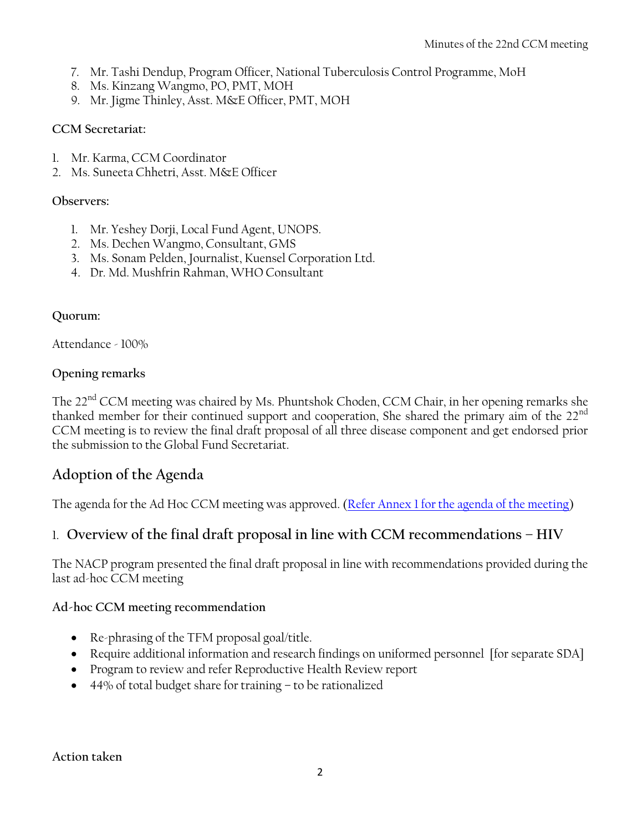- 7. Mr. Tashi Dendup, Program Officer, National Tuberculosis Control Programme, MoH
- 8. Ms. Kinzang Wangmo, PO, PMT, MOH
- 9. Mr. Jigme Thinley, Asst. M&E Officer, PMT, MOH

### **CCM Secretariat:**

- 1. Mr. Karma, CCM Coordinator
- 2. Ms. Suneeta Chhetri, Asst. M&E Officer

#### **Observers:**

- 1. Mr. Yeshey Dorji, Local Fund Agent, UNOPS.
- 2. Ms. Dechen Wangmo, Consultant, GMS
- 3. Ms. Sonam Pelden, Journalist, Kuensel Corporation Ltd.
- 4. Dr. Md. Mushfrin Rahman, WHO Consultant

### **Quorum:**

Attendance - 100%

### **Opening remarks**

The 22<sup>nd</sup> CCM meeting was chaired by Ms. Phuntshok Choden, CCM Chair, in her opening remarks she thanked member for their continued support and cooperation, She shared the primary aim of the 22<sup>nd</sup> CCM meeting is to review the final draft proposal of all three disease component and get endorsed prior the submission to the Global Fund Secretariat.

### **Adoption of the Agenda**

The agenda for the Ad Hoc CCM meeting was approved. [\(Refer Annex 1 for the agenda of the meeting\)](#page-8-0)

### 1. **Overview of the final draft proposal in line with CCM recommendations – HIV**

The NACP program presented the final draft proposal in line with recommendations provided during the last ad-hoc CCM meeting

### **Ad-hoc CCM meeting recommendation**

- Re-phrasing of the TFM proposal goal/title.
- Require additional information and research findings on uniformed personnel [for separate SDA]
- Program to review and refer Reproductive Health Review report
- 44% of total budget share for training to be rationalized

**Action taken**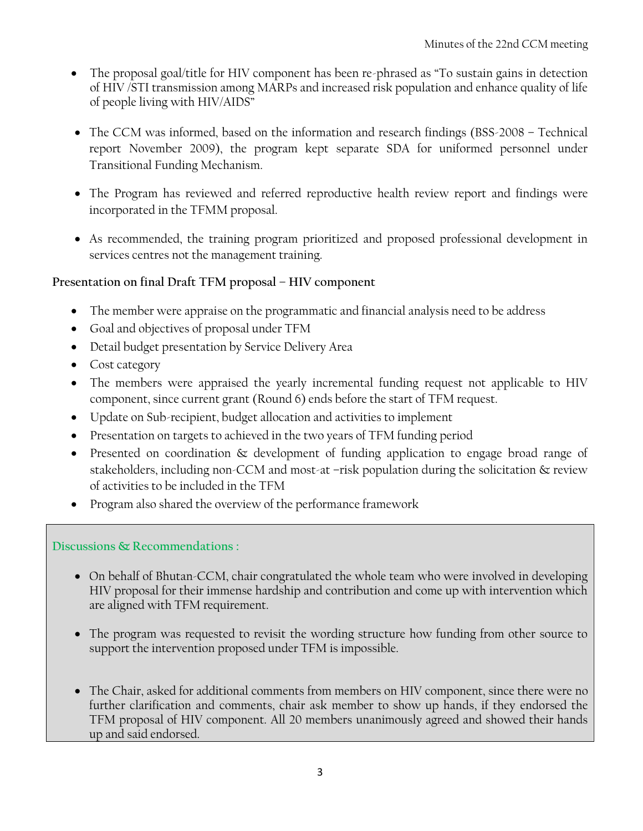- The proposal goal/title for HIV component has been re-phrased as "To sustain gains in detection of HIV /STI transmission among MARPs and increased risk population and enhance quality of life of people living with HIV/AIDS"
- The CCM was informed, based on the information and research findings (BSS-2008 Technical report November 2009), the program kept separate SDA for uniformed personnel under Transitional Funding Mechanism.
- The Program has reviewed and referred reproductive health review report and findings were incorporated in the TFMM proposal.
- As recommended, the training program prioritized and proposed professional development in services centres not the management training.

### **Presentation on final Draft TFM proposal – HIV component**

- The member were appraise on the programmatic and financial analysis need to be address
- Goal and objectives of proposal under TFM
- Detail budget presentation by Service Delivery Area
- Cost category
- The members were appraised the yearly incremental funding request not applicable to HIV component, since current grant (Round 6) ends before the start of TFM request.
- Update on Sub-recipient, budget allocation and activities to implement
- Presentation on targets to achieved in the two years of TFM funding period
- Presented on coordination & development of funding application to engage broad range of stakeholders, including non-CCM and most-at –risk population during the solicitation & review of activities to be included in the TFM
- Program also shared the overview of the performance framework

### **Discussions & Recommendations :**

- On behalf of Bhutan-CCM, chair congratulated the whole team who were involved in developing HIV proposal for their immense hardship and contribution and come up with intervention which are aligned with TFM requirement.
- The program was requested to revisit the wording structure how funding from other source to support the intervention proposed under TFM is impossible.
- The Chair, asked for additional comments from members on HIV component, since there were no further clarification and comments, chair ask member to show up hands, if they endorsed the TFM proposal of HIV component. All 20 members unanimously agreed and showed their hands up and said endorsed.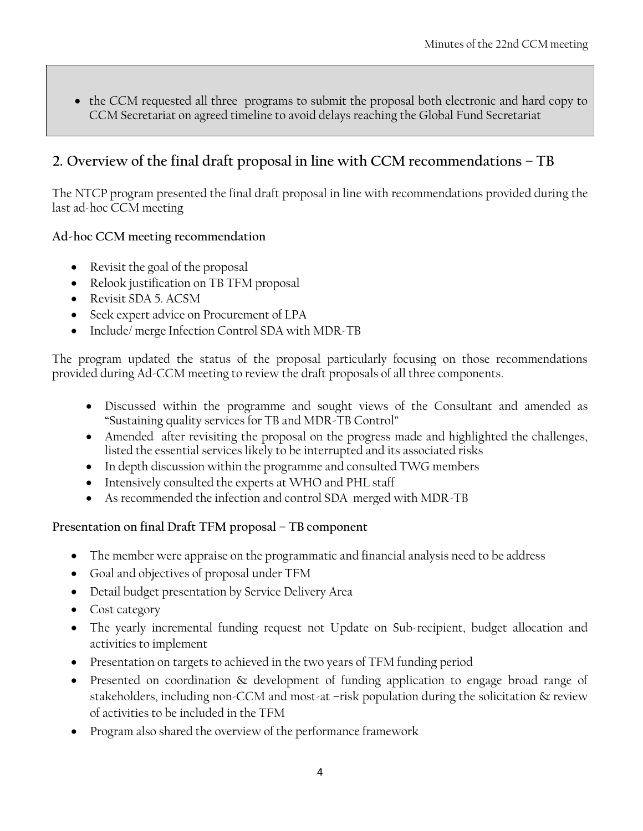• the CCM requested all three programs to submit the proposal both electronic and hard copy to CCM Secretariat on agreed timeline to avoid delays reaching the Global Fund Secretariat

### **2. Overview of the final draft proposal in line with CCM recommendations – TB**

The NTCP program presented the final draft proposal in line with recommendations provided during the last ad-hoc CCM meeting

### **Ad-hoc CCM meeting recommendation**

- Revisit the goal of the proposal
- Relook justification on TB TFM proposal
- Revisit SDA 5. ACSM
- Seek expert advice on Procurement of LPA
- Include/ merge Infection Control SDA with MDR-TB

The program updated the status of the proposal particularly focusing on those recommendations provided during Ad-CCM meeting to review the draft proposals of all three components.

- Discussed within the programme and sought views of the Consultant and amended as "Sustaining quality services for TB and MDR-TB Control"
- Amended after revisiting the proposal on the progress made and highlighted the challenges, listed the essential services likely to be interrupted and its associated risks
- In depth discussion within the programme and consulted TWG members
- Intensively consulted the experts at WHO and PHL staff
- As recommended the infection and control SDA merged with MDR-TB

### **Presentation on final Draft TFM proposal – TB component**

- The member were appraise on the programmatic and financial analysis need to be address
- Goal and objectives of proposal under TFM
- Detail budget presentation by Service Delivery Area
- Cost category
- The yearly incremental funding request not Update on Sub-recipient, budget allocation and activities to implement
- Presentation on targets to achieved in the two years of TFM funding period
- Presented on coordination & development of funding application to engage broad range of stakeholders, including non-CCM and most-at –risk population during the solicitation & review of activities to be included in the TFM
- Program also shared the overview of the performance framework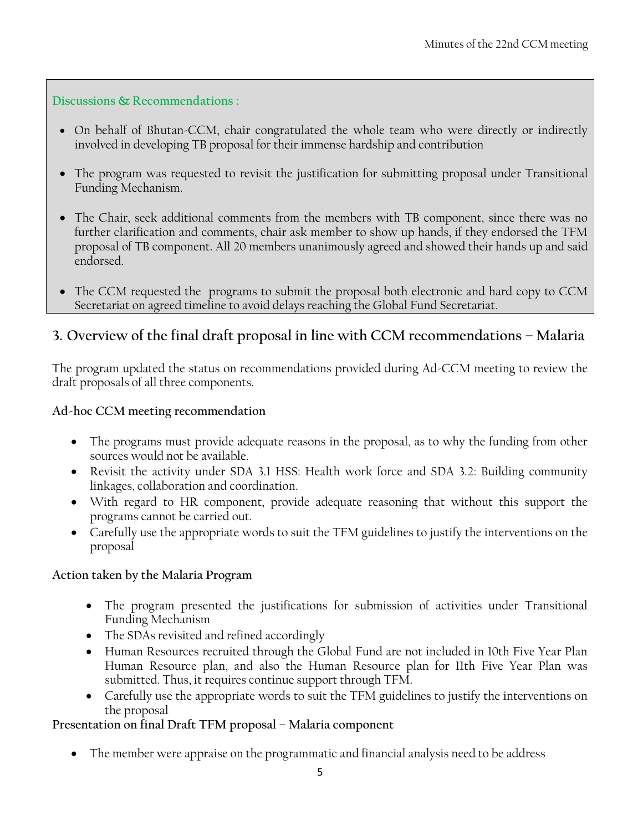**Discussions & Recommendations :**

- On behalf of Bhutan-CCM, chair congratulated the whole team who were directly or indirectly involved in developing TB proposal for their immense hardship and contribution
- The program was requested to revisit the justification for submitting proposal under Transitional Funding Mechanism.
- The Chair, seek additional comments from the members with TB component, since there was no further clarification and comments, chair ask member to show up hands, if they endorsed the TFM proposal of TB component. All 20 members unanimously agreed and showed their hands up and said endorsed.
- The CCM requested the programs to submit the proposal both electronic and hard copy to CCM Secretariat on agreed timeline to avoid delays reaching the Global Fund Secretariat.

### **3. Overview of the final draft proposal in line with CCM recommendations – Malaria**

The program updated the status on recommendations provided during Ad-CCM meeting to review the draft proposals of all three components.

### **Ad-hoc CCM meeting recommendation**

- The programs must provide adequate reasons in the proposal, as to why the funding from other sources would not be available.
- Revisit the activity under SDA 3.1 HSS: Health work force and SDA 3.2: Building community linkages, collaboration and coordination.
- With regard to HR component, provide adequate reasoning that without this support the programs cannot be carried out.
- Carefully use the appropriate words to suit the TFM guidelines to justify the interventions on the proposal

### **Action taken by the Malaria Program**

- The program presented the justifications for submission of activities under Transitional Funding Mechanism
- The SDAs revisited and refined accordingly
- Human Resources recruited through the Global Fund are not included in 10th Five Year Plan Human Resource plan, and also the Human Resource plan for 11th Five Year Plan was submitted. Thus, it requires continue support through TFM.
- Carefully use the appropriate words to suit the TFM guidelines to justify the interventions on the proposal

### **Presentation on final Draft TFM proposal – Malaria component**

The member were appraise on the programmatic and financial analysis need to be address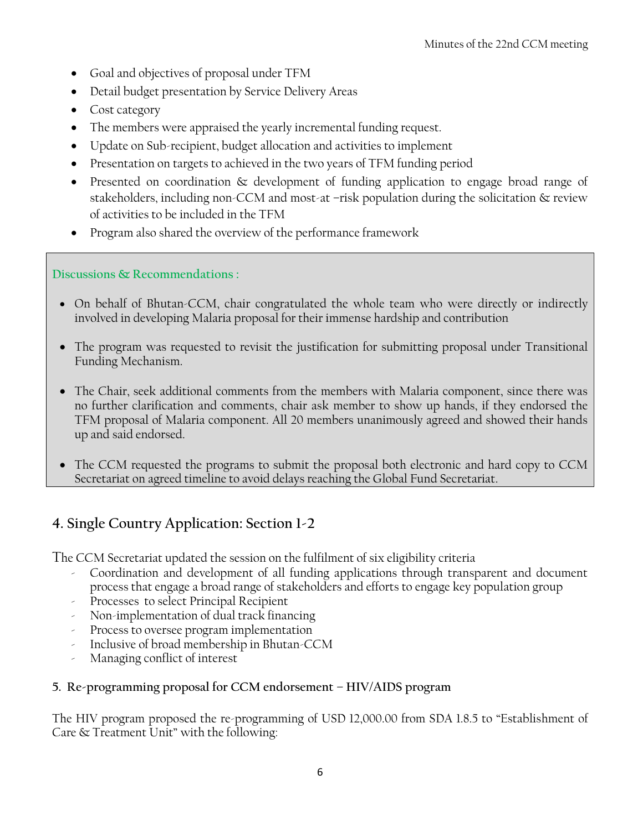- Goal and objectives of proposal under TFM
- Detail budget presentation by Service Delivery Areas
- Cost category
- The members were appraised the yearly incremental funding request.
- Update on Sub-recipient, budget allocation and activities to implement
- Presentation on targets to achieved in the two years of TFM funding period
- Presented on coordination & development of funding application to engage broad range of stakeholders, including non-CCM and most-at –risk population during the solicitation & review of activities to be included in the TFM
- Program also shared the overview of the performance framework

### **Discussions & Recommendations :**

- On behalf of Bhutan-CCM, chair congratulated the whole team who were directly or indirectly involved in developing Malaria proposal for their immense hardship and contribution
- The program was requested to revisit the justification for submitting proposal under Transitional Funding Mechanism.
- The Chair, seek additional comments from the members with Malaria component, since there was no further clarification and comments, chair ask member to show up hands, if they endorsed the TFM proposal of Malaria component. All 20 members unanimously agreed and showed their hands up and said endorsed.
- The CCM requested the programs to submit the proposal both electronic and hard copy to CCM Secretariat on agreed timeline to avoid delays reaching the Global Fund Secretariat.

### **4. Single Country Application: Section 1-2**

The CCM Secretariat updated the session on the fulfilment of six eligibility criteria

- Coordination and development of all funding applications through transparent and document process that engage a broad range of stakeholders and efforts to engage key population group
- Processes to select Principal Recipient
- Non-implementation of dual track financing
- Process to oversee program implementation
- Inclusive of broad membership in Bhutan-CCM
- Managing conflict of interest

### **5. Re-programming proposal for CCM endorsement – HIV/AIDS program**

The HIV program proposed the re-programming of USD 12,000.00 from SDA 1.8.5 to "Establishment of Care & Treatment Unit" with the following: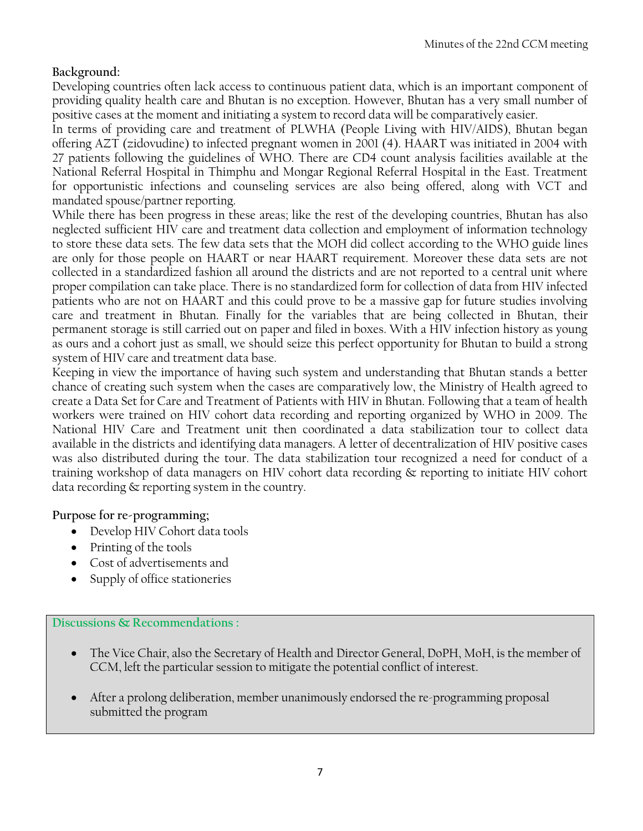### **Background:**

Developing countries often lack access to continuous patient data, which is an important component of providing quality health care and Bhutan is no exception. However, Bhutan has a very small number of positive cases at the moment and initiating a system to record data will be comparatively easier.

In terms of providing care and treatment of PLWHA (People Living with HIV/AIDS), Bhutan began offering AZT (zidovudine) to infected pregnant women in 2001 (4). HAART was initiated in 2004 with 27 patients following the guidelines of WHO. There are CD4 count analysis facilities available at the National Referral Hospital in Thimphu and Mongar Regional Referral Hospital in the East. Treatment for opportunistic infections and counseling services are also being offered, along with VCT and mandated spouse/partner reporting.

While there has been progress in these areas; like the rest of the developing countries, Bhutan has also neglected sufficient HIV care and treatment data collection and employment of information technology to store these data sets. The few data sets that the MOH did collect according to the WHO guide lines are only for those people on HAART or near HAART requirement. Moreover these data sets are not collected in a standardized fashion all around the districts and are not reported to a central unit where proper compilation can take place. There is no standardized form for collection of data from HIV infected patients who are not on HAART and this could prove to be a massive gap for future studies involving care and treatment in Bhutan. Finally for the variables that are being collected in Bhutan, their permanent storage is still carried out on paper and filed in boxes. With a HIV infection history as young as ours and a cohort just as small, we should seize this perfect opportunity for Bhutan to build a strong system of HIV care and treatment data base.

Keeping in view the importance of having such system and understanding that Bhutan stands a better chance of creating such system when the cases are comparatively low, the Ministry of Health agreed to create a Data Set for Care and Treatment of Patients with HIV in Bhutan. Following that a team of health workers were trained on HIV cohort data recording and reporting organized by WHO in 2009. The National HIV Care and Treatment unit then coordinated a data stabilization tour to collect data available in the districts and identifying data managers. A letter of decentralization of HIV positive cases was also distributed during the tour. The data stabilization tour recognized a need for conduct of a training workshop of data managers on HIV cohort data recording & reporting to initiate HIV cohort data recording & reporting system in the country.

#### **Purpose for re-programming;**

- Develop HIV Cohort data tools
- Printing of the tools
- Cost of advertisements and
- Supply of office stationeries

**Discussions & Recommendations :**

- The Vice Chair, also the Secretary of Health and Director General, DoPH, MoH, is the member of CCM, left the particular session to mitigate the potential conflict of interest.
- After a prolong deliberation, member unanimously endorsed the re-programming proposal submitted the program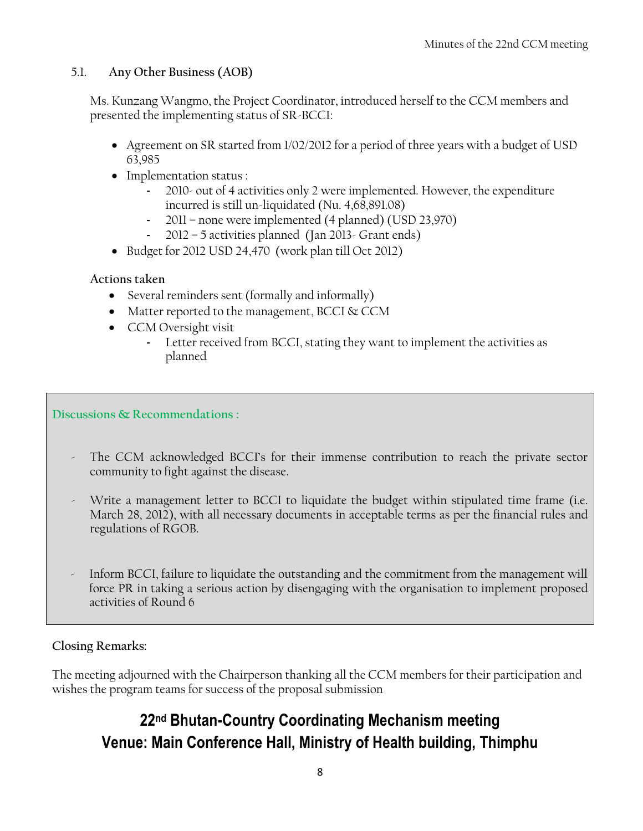### 5.1. **Any Other Business (AOB)**

Ms. Kunzang Wangmo, the Project Coordinator, introduced herself to the CCM members and presented the implementing status of SR-BCCI:

- Agreement on SR started from 1/02/2012 for a period of three years with a budget of USD 63,985
- Implementation status :
	- 2010- out of 4 activities only 2 were implemented. However, the expenditure incurred is still un-liquidated (Nu. 4,68,891.08)
	- 2011 none were implemented (4 planned) (USD 23,970)
	- 2012 5 activities planned (Jan 2013- Grant ends)
- Budget for 2012 USD 24,470 (work plan till Oct 2012)

### **Actions taken**

- Several reminders sent (formally and informally)
- Matter reported to the management, BCCI & CCM
- CCM Oversight visit
	- Letter received from BCCI, stating they want to implement the activities as planned

**Discussions & Recommendations :**

- The CCM acknowledged BCCI's for their immense contribution to reach the private sector community to fight against the disease.
- Write a management letter to BCCI to liquidate the budget within stipulated time frame (i.e. March 28, 2012), with all necessary documents in acceptable terms as per the financial rules and regulations of RGOB.
- Inform BCCI, failure to liquidate the outstanding and the commitment from the management will force PR in taking a serious action by disengaging with the organisation to implement proposed activities of Round 6

### **Closing Remarks:**

The meeting adjourned with the Chairperson thanking all the CCM members for their participation and wishes the program teams for success of the proposal submission

# <span id="page-8-0"></span>**22nd Bhutan-Country Coordinating Mechanism meeting Venue: Main Conference Hall, Ministry of Health building, Thimphu**